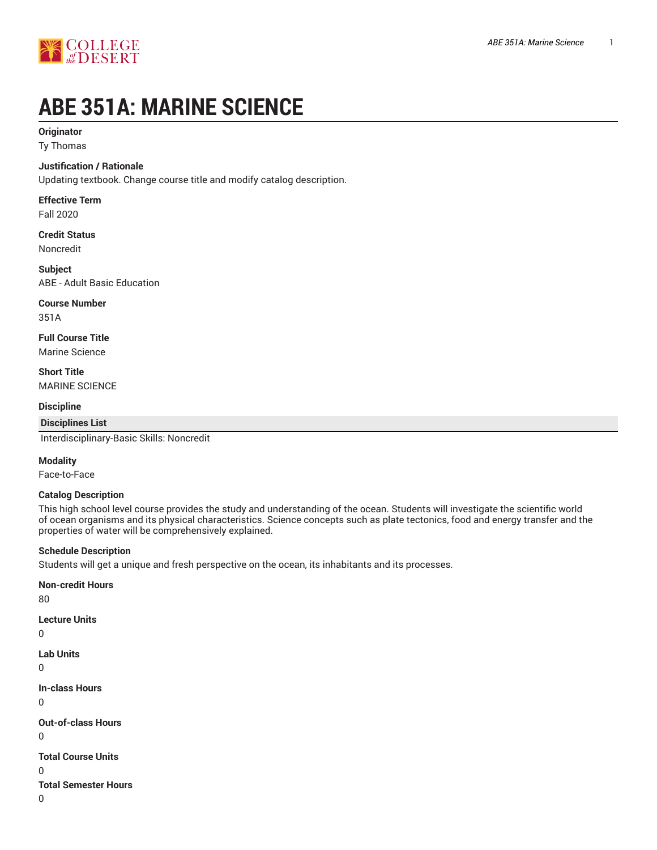

# **ABE 351A: MARINE SCIENCE**

## **Originator**

Ty Thomas

## **Justification / Rationale**

Updating textbook. Change course title and modify catalog description.

## **Effective Term**

Fall 2020

## **Credit Status** Noncredit

**Subject** ABE - Adult Basic Education

## **Course Number**

351A

**Full Course Title** Marine Science

## **Short Title** MARINE SCIENCE

## **Discipline**

## **Disciplines List**

Interdisciplinary-Basic Skills: Noncredit

## **Modality**

Face-to-Face

## **Catalog Description**

This high school level course provides the study and understanding of the ocean. Students will investigate the scientific world of ocean organisms and its physical characteristics. Science concepts such as plate tectonics, food and energy transfer and the properties of water will be comprehensively explained.

## **Schedule Description**

Students will get a unique and fresh perspective on the ocean, its inhabitants and its processes.

# **Non-credit Hours**

80

## **Lecture Units**

```
\overline{0}
```

```
Lab Units
```

```
\Omega
```

```
In-class Hours
```

```
0
```
**Out-of-class Hours**

 $\Omega$ 

```
Total Course Units
```
 $\Omega$ 

**Total Semester Hours**

0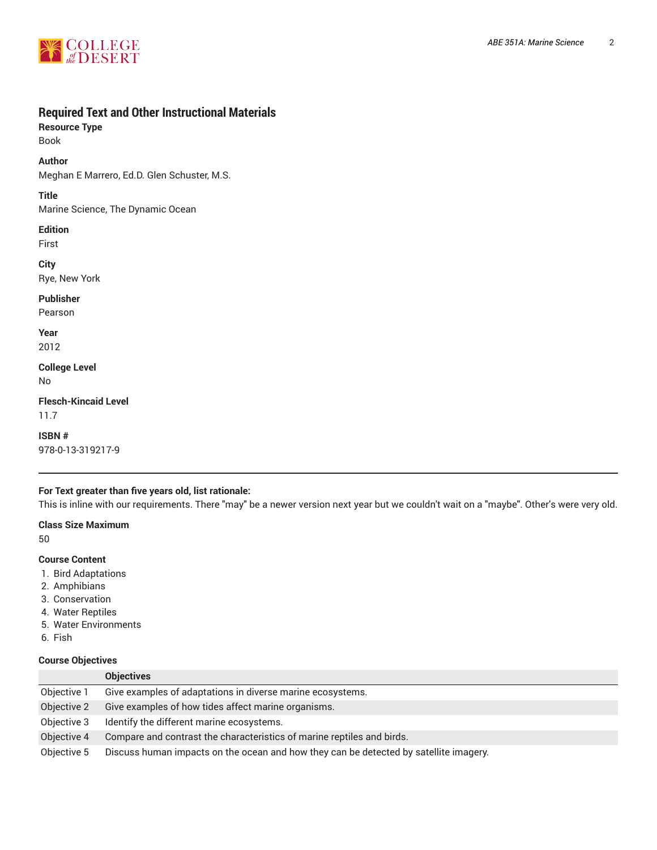

# **Required Text and Other Instructional Materials**

**Resource Type**

Book

**Author**

Meghan E Marrero, Ed.D. Glen Schuster, M.S.

**Title**

Marine Science, The Dynamic Ocean

**Edition** First

**City** Rye, New York

**Publisher**

Pearson

**Year** 2012

**College Level** No

**Flesch-Kincaid Level** 11.7

**ISBN #** 978-0-13-319217-9

# **For Text greater than five years old, list rationale:**

This is inline with our requirements. There "may" be a newer version next year but we couldn't wait on a "maybe". Other's were very old.

**Class Size Maximum**

50

## **Course Content**

- 1. Bird Adaptations
- 2. Amphibians
- 3. Conservation
- 4. Water Reptiles
- 5. Water Environments
- 6. Fish

## **Course Objectives**

|             | <b>Objectives</b>                                                                     |
|-------------|---------------------------------------------------------------------------------------|
| Objective 1 | Give examples of adaptations in diverse marine ecosystems.                            |
| Objective 2 | Give examples of how tides affect marine organisms.                                   |
| Objective 3 | Identify the different marine ecosystems.                                             |
| Objective 4 | Compare and contrast the characteristics of marine reptiles and birds.                |
| Objective 5 | Discuss human impacts on the ocean and how they can be detected by satellite imagery. |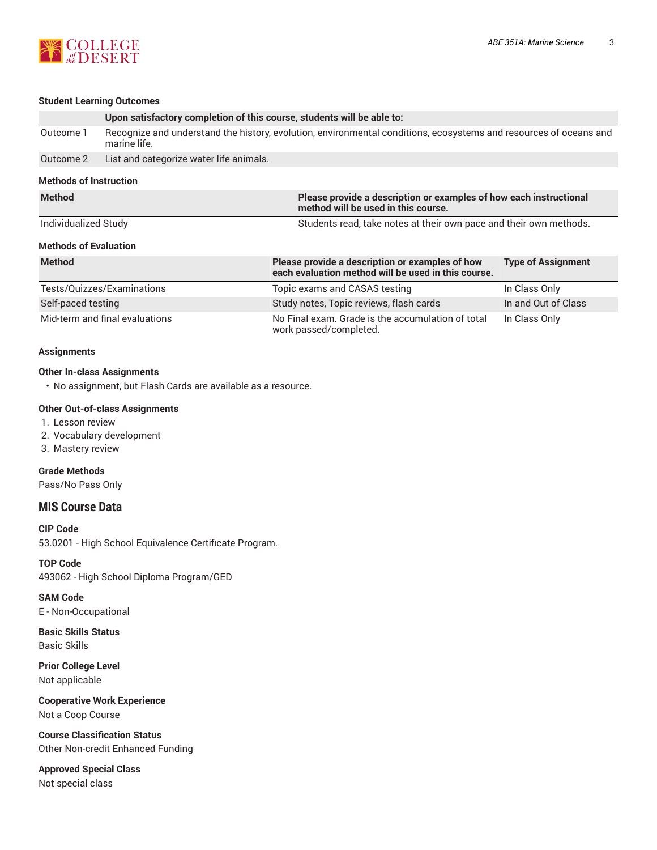

# **Student Learning Outcomes**

| <b>SWAGIIL LEAHING OULCONNES</b> |                                                                                                                                   |                                                                                                        |                                                                    |  |
|----------------------------------|-----------------------------------------------------------------------------------------------------------------------------------|--------------------------------------------------------------------------------------------------------|--------------------------------------------------------------------|--|
|                                  | Upon satisfactory completion of this course, students will be able to:                                                            |                                                                                                        |                                                                    |  |
| Outcome 1                        | Recognize and understand the history, evolution, environmental conditions, ecosystems and resources of oceans and<br>marine life. |                                                                                                        |                                                                    |  |
| Outcome 2                        | List and categorize water life animals.                                                                                           |                                                                                                        |                                                                    |  |
| <b>Methods of Instruction</b>    |                                                                                                                                   |                                                                                                        |                                                                    |  |
| <b>Method</b>                    | Please provide a description or examples of how each instructional<br>method will be used in this course.                         |                                                                                                        |                                                                    |  |
| Individualized Study             |                                                                                                                                   |                                                                                                        | Students read, take notes at their own pace and their own methods. |  |
| <b>Methods of Evaluation</b>     |                                                                                                                                   |                                                                                                        |                                                                    |  |
| <b>Method</b>                    |                                                                                                                                   | Please provide a description or examples of how<br>each evaluation method will be used in this course. | <b>Type of Assignment</b>                                          |  |
| Tests/Quizzes/Examinations       |                                                                                                                                   | Topic exams and CASAS testing                                                                          | In Class Only                                                      |  |
| Self-paced testing               |                                                                                                                                   | Study notes, Topic reviews, flash cards                                                                | In and Out of Class                                                |  |
| Mid-term and final evaluations   |                                                                                                                                   | No Final exam. Grade is the accumulation of total<br>work passed/completed.                            | In Class Only                                                      |  |

#### **Assignments**

## **Other In-class Assignments**

• No assignment, but Flash Cards are available as a resource.

## **Other Out-of-class Assignments**

- 1. Lesson review
- 2. Vocabulary development
- 3. Mastery review

## **Grade Methods**

Pass/No Pass Only

## **MIS Course Data**

**CIP Code** 53.0201 - High School Equivalence Certificate Program.

**TOP Code** 493062 - High School Diploma Program/GED

**SAM Code** E - Non-Occupational

**Basic Skills Status** Basic Skills

**Prior College Level** Not applicable

**Cooperative Work Experience** Not a Coop Course

**Course Classification Status** Other Non-credit Enhanced Funding

**Approved Special Class** Not special class